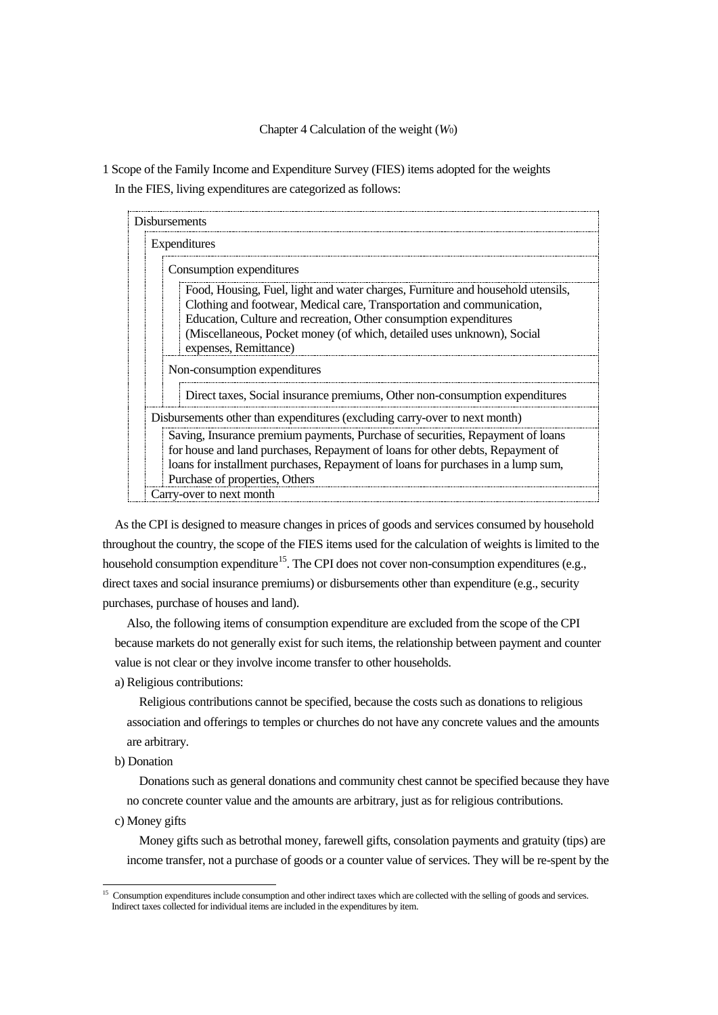## Chapter 4 Calculation of the weight (*W*0)

1 Scope of the Family Income and Expenditure Survey (FIES) items adopted for the weights In the FIES, living expenditures are categorized as follows:

| <b>Disbursements</b>                                                                                                                                                                                                                                                                                                              |  |  |
|-----------------------------------------------------------------------------------------------------------------------------------------------------------------------------------------------------------------------------------------------------------------------------------------------------------------------------------|--|--|
| Expenditures                                                                                                                                                                                                                                                                                                                      |  |  |
| Consumption expenditures                                                                                                                                                                                                                                                                                                          |  |  |
| Food, Housing, Fuel, light and water charges, Furniture and household utensils,<br>Clothing and footwear, Medical care, Transportation and communication,<br>Education, Culture and recreation, Other consumption expenditures<br>(Miscellaneous, Pocket money (of which, detailed uses unknown), Social<br>expenses, Remittance) |  |  |
| Non-consumption expenditures                                                                                                                                                                                                                                                                                                      |  |  |
| Direct taxes, Social insurance premiums, Other non-consumption expenditures                                                                                                                                                                                                                                                       |  |  |
| Disbursements other than expenditures (excluding carry-over to next month)                                                                                                                                                                                                                                                        |  |  |
| Saving, Insurance premium payments, Purchase of securities, Repayment of loans<br>for house and land purchases, Repayment of loans for other debts, Repayment of<br>loans for installment purchases, Repayment of loans for purchases in a lump sum,<br>Purchase of properties, Others                                            |  |  |
| Carry-over to next month                                                                                                                                                                                                                                                                                                          |  |  |

As the CPI is designed to measure changes in prices of goods and services consumed by household throughout the country, the scope of the FIES items used for the calculation of weights is limited to the household consumption expenditure<sup>15</sup>. The CPI does not cover non-consumption expenditures (e.g., direct taxes and social insurance premiums) or disbursements other than expenditure (e.g., security purchases, purchase of houses and land).

Also, the following items of consumption expenditure are excluded from the scope of the CPI because markets do not generally exist for such items, the relationship between payment and counter value is not clear or they involve income transfer to other households.

a) Religious contributions:

Religious contributions cannot be specified, because the costs such as donations to religious association and offerings to temples or churches do not have any concrete values and the amounts are arbitrary.

b) Donation

Donations such as general donations and community chest cannot be specified because they have no concrete counter value and the amounts are arbitrary, just as for religious contributions.

c) Money gifts

Money gifts such as betrothal money, farewell gifts, consolation payments and gratuity (tips) are income transfer, not a purchase of goods or a counter value of services. They will be re-spent by the

<span id="page-0-0"></span><sup>&</sup>lt;sup>15</sup> Consumption expenditures include consumption and other indirect taxes which are collected with the selling of goods and services. Indirect taxes collected for individual items are included in the expenditures by item.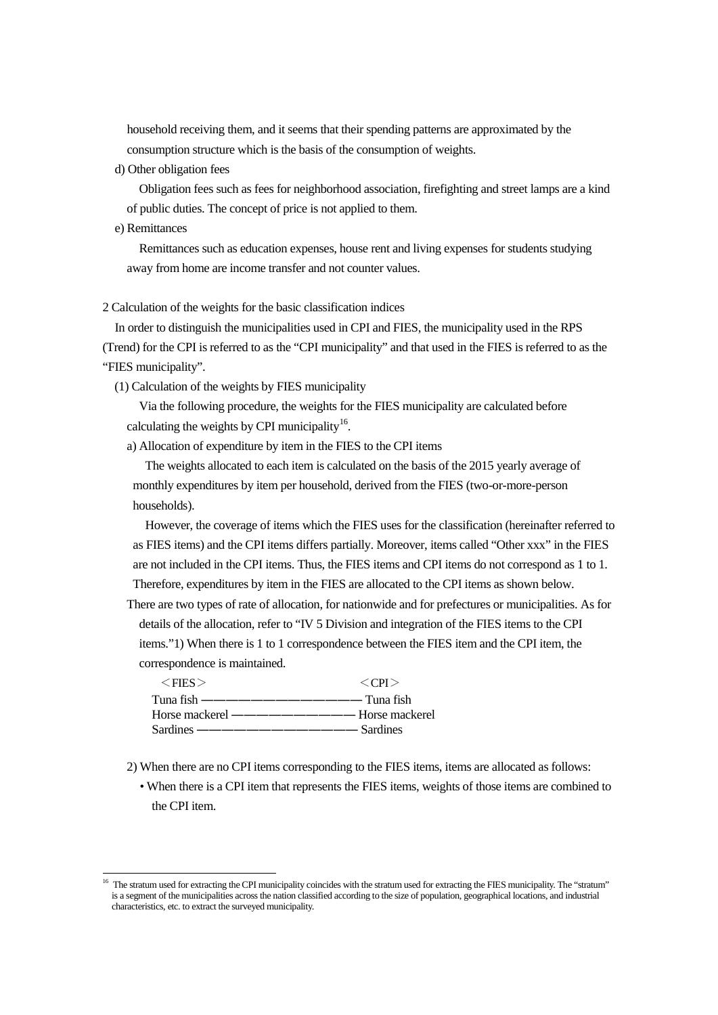household receiving them, and it seems that their spending patterns are approximated by the consumption structure which is the basis of the consumption of weights.

d) Other obligation fees

Obligation fees such as fees for neighborhood association, firefighting and street lamps are a kind of public duties. The concept of price is not applied to them.

e) Remittances

Remittances such as education expenses, house rent and living expenses for students studying away from home are income transfer and not counter values.

2 Calculation of the weights for the basic classification indices

In order to distinguish the municipalities used in CPI and FIES, the municipality used in the RPS (Trend) for the CPI is referred to as the "CPI municipality" and that used in the FIES is referred to as the "FIES municipality".

(1) Calculation of the weights by FIES municipality

Via the following procedure, the weights for the FIES municipality are calculated before calculating the weights by CPI municipality<sup>[16](#page-1-0)</sup>.

a) Allocation of expenditure by item in the FIES to the CPI items

The weights allocated to each item is calculated on the basis of the 2015 yearly average of monthly expenditures by item per household, derived from the FIES (two-or-more-person households).

However, the coverage of items which the FIES uses for the classification (hereinafter referred to as FIES items) and the CPI items differs partially. Moreover, items called "Other xxx" in the FIES are not included in the CPI items. Thus, the FIES items and CPI items do not correspond as 1 to 1. Therefore, expenditures by item in the FIES are allocated to the CPI items as shown below.

There are two types of rate of allocation, for nationwide and for prefectures or municipalities. As for details of the allocation, refer to "IV 5 Division and integration of the FIES items to the CPI items."1) When there is 1 to 1 correspondence between the FIES item and the CPI item, the correspondence is maintained.

| $<$ FIES $>$ | $\langle CPI\rangle$ |
|--------------|----------------------|
|              |                      |
|              |                      |
|              |                      |

2) When there are no CPI items corresponding to the FIES items, items are allocated as follows:

• When there is a CPI item that represents the FIES items, weights of those items are combined to the CPI item.

<span id="page-1-0"></span><sup>&</sup>lt;sup>16</sup> The stratum used for extracting the CPI municipality coincides with the stratum used for extracting the FIES municipality. The "stratum" is a segment of the municipalities across the nation classified according to the size of population, geographical locations, and industrial characteristics, etc. to extract the surveyed municipality.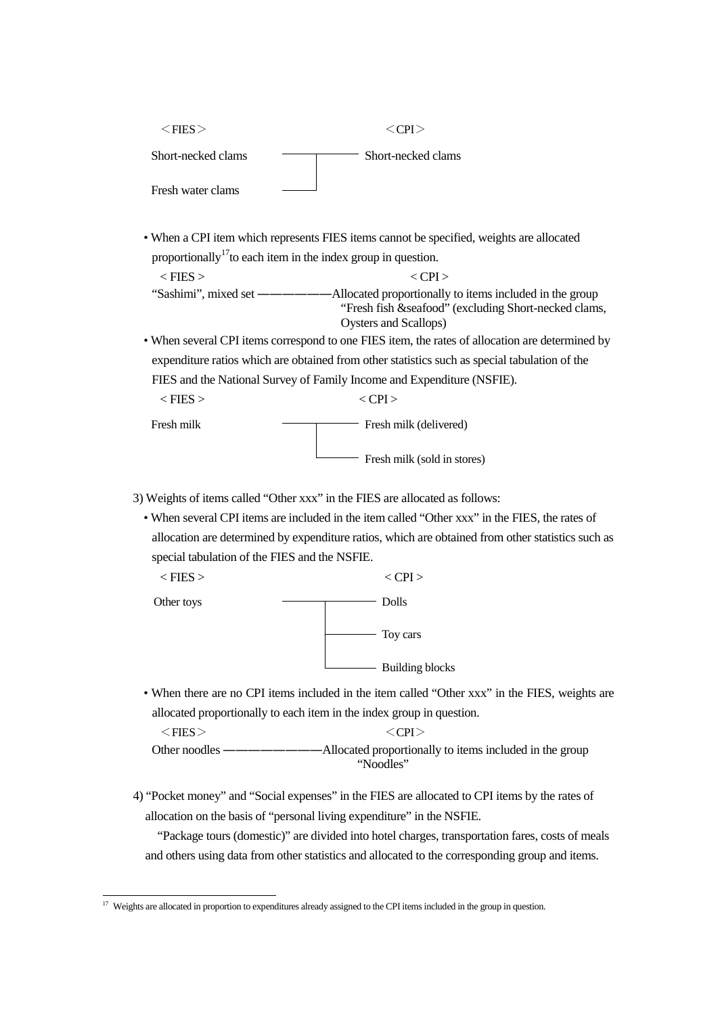| $<$ FIES $>$       | $\langle CP$ [>    |
|--------------------|--------------------|
| Short-necked clams | Short-necked clams |
| Fresh water clams  |                    |

• When a CPI item which represents FIES items cannot be specified, weights are allocated proportionally<sup>[17](#page-2-0)</sup> to each item in the index group in question.

 $\langle$  FIES  $>$   $\langle$  CPI  $>$ "Sashimi", mixed set ――――――Allocated proportionally to items included in the group "Fresh fish &seafood" (excluding Short-necked clams, Oysters and Scallops)

• When several CPI items correspond to one FIES item, the rates of allocation are determined by expenditure ratios which are obtained from other statistics such as special tabulation of the FIES and the National Survey of Family Income and Expenditure (NSFIE).

| $\langle$ FIES $>$ | $\langle CP1\rangle$        |
|--------------------|-----------------------------|
| Fresh milk         | Fresh milk (delivered)      |
|                    | Fresh milk (sold in stores) |

- 3) Weights of items called "Other xxx" in the FIES are allocated as follows:
	- When several CPI items are included in the item called "Other xxx" in the FIES, the rates of allocation are determined by expenditure ratios, which are obtained from other statistics such as special tabulation of the FIES and the NSFIE.

| $<$ FIES $>$ | $\langle$ CPI $>$      |
|--------------|------------------------|
| Other toys   | Dolls                  |
|              | Toy cars               |
|              | <b>Building blocks</b> |

• When there are no CPI items included in the item called "Other xxx" in the FIES, weights are allocated proportionally to each item in the index group in question.

 $<$ FIES $>$   $<$  CPI $>$ Other noodles ――――――――Allocated proportionally to items included in the group "Noodles"

4) "Pocket money" and "Social expenses" in the FIES are allocated to CPI items by the rates of allocation on the basis of "personal living expenditure" in the NSFIE.

"Package tours (domestic)" are divided into hotel charges, transportation fares, costs of meals and others using data from other statistics and allocated to the corresponding group and items.

<span id="page-2-0"></span><sup>&</sup>lt;sup>17</sup> Weights are allocated in proportion to expenditures already assigned to the CPI items included in the group in question.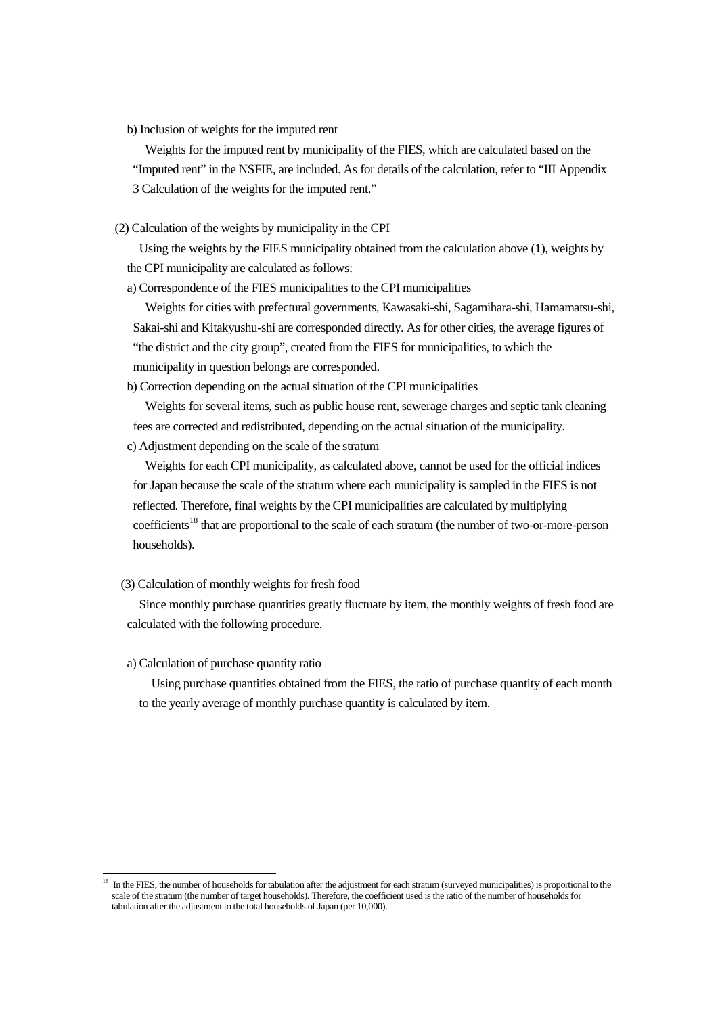b) Inclusion of weights for the imputed rent

Weights for the imputed rent by municipality of the FIES, which are calculated based on the

- "Imputed rent" in the NSFIE, are included. As for details of the calculation, refer to "III Appendix
- 3 Calculation of the weights for the imputed rent."
- (2) Calculation of the weights by municipality in the CPI

Using the weights by the FIES municipality obtained from the calculation above (1), weights by the CPI municipality are calculated as follows:

a) Correspondence of the FIES municipalities to the CPI municipalities

Weights for cities with prefectural governments, Kawasaki-shi, Sagamihara-shi, Hamamatsu-shi, Sakai-shi and Kitakyushu-shi are corresponded directly. As for other cities, the average figures of "the district and the city group", created from the FIES for municipalities, to which the municipality in question belongs are corresponded.

b) Correction depending on the actual situation of the CPI municipalities

Weights for several items, such as public house rent, sewerage charges and septic tank cleaning fees are corrected and redistributed, depending on the actual situation of the municipality.

c) Adjustment depending on the scale of the stratum

Weights for each CPI municipality, as calculated above, cannot be used for the official indices for Japan because the scale of the stratum where each municipality is sampled in the FIES is not reflected. Therefore, final weights by the CPI municipalities are calculated by multiplying coefficients<sup>[18](#page-3-0)</sup> that are proportional to the scale of each stratum (the number of two-or-more-person households).

(3) Calculation of monthly weights for fresh food

Since monthly purchase quantities greatly fluctuate by item, the monthly weights of fresh food are calculated with the following procedure.

## a) Calculation of purchase quantity ratio

Using purchase quantities obtained from the FIES, the ratio of purchase quantity of each month to the yearly average of monthly purchase quantity is calculated by item.

<span id="page-3-0"></span><sup>&</sup>lt;sup>18</sup> In the FIES, the number of households for tabulation after the adjustment for each stratum (surveyed municipalities) is proportional to the scale of the stratum (the number of target households). Therefore, the coefficient used is the ratio of the number of households for tabulation after the adjustment to the total households of Japan (per 10,000).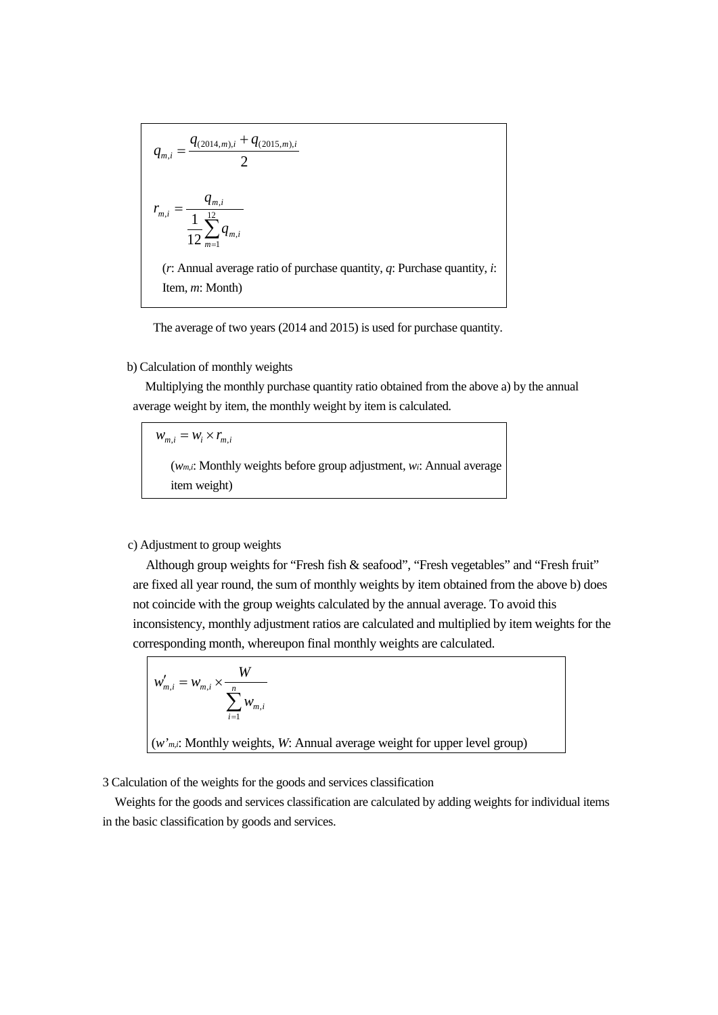$$
q_{m,i} = \frac{q_{(2014,m),i} + q_{(2015,m),i}}{2}
$$
\n
$$
r_{m,i} = \frac{q_{m,i}}{12 \sum_{m=1}^{12} q_{m,i}}
$$
\n(*r*: Annual average ratio of purchase quantity, *q*: Purchase quantity, *i*: Item, *m*: Month)

The average of two years (2014 and 2015) is used for purchase quantity.

## b) Calculation of monthly weights

Multiplying the monthly purchase quantity ratio obtained from the above a) by the annual average weight by item, the monthly weight by item is calculated.

 $W_{m,i} = W_i \times r_{m,i}$ (*wm,i*: Monthly weights before group adjustment, *wi*: Annual average item weight)

## c) Adjustment to group weights

Although group weights for "Fresh fish & seafood", "Fresh vegetables" and "Fresh fruit" are fixed all year round, the sum of monthly weights by item obtained from the above b) does not coincide with the group weights calculated by the annual average. To avoid this inconsistency, monthly adjustment ratios are calculated and multiplied by item weights for the corresponding month, whereupon final monthly weights are calculated.

$$
w'_{m,i} = w_{m,i} \times \frac{W}{\sum_{i=1}^{n} w_{m,i}}
$$
  
(*w'm,i*: Monthly weights, *W*: Annual average weight for upper level group)

3 Calculation of the weights for the goods and services classification

Weights for the goods and services classification are calculated by adding weights for individual items in the basic classification by goods and services.